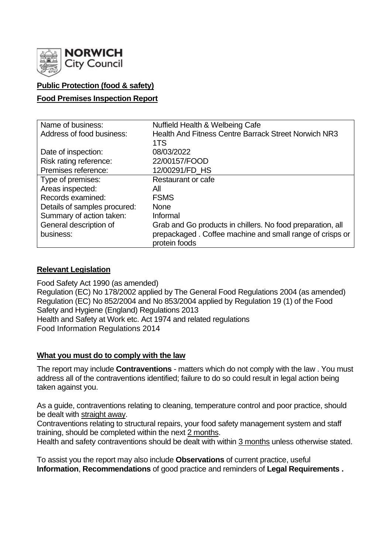

## **Public Protection (food & safety)**

#### **Food Premises Inspection Report**

| Name of business:            | Nuffield Health & Welbeing Cafe                             |  |  |  |  |
|------------------------------|-------------------------------------------------------------|--|--|--|--|
| Address of food business:    | <b>Health And Fitness Centre Barrack Street Norwich NR3</b> |  |  |  |  |
|                              | 1TS                                                         |  |  |  |  |
| Date of inspection:          | 08/03/2022                                                  |  |  |  |  |
| Risk rating reference:       | 22/00157/FOOD                                               |  |  |  |  |
| Premises reference:          | 12/00291/FD HS                                              |  |  |  |  |
| Type of premises:            | Restaurant or cafe                                          |  |  |  |  |
| Areas inspected:             | All                                                         |  |  |  |  |
| Records examined:            | <b>FSMS</b>                                                 |  |  |  |  |
| Details of samples procured: | <b>None</b>                                                 |  |  |  |  |
| Summary of action taken:     | Informal                                                    |  |  |  |  |
| General description of       | Grab and Go products in chillers. No food preparation, all  |  |  |  |  |
| business:                    | prepackaged. Coffee machine and small range of crisps or    |  |  |  |  |
|                              | protein foods                                               |  |  |  |  |

#### **Relevant Legislation**

Food Safety Act 1990 (as amended) Regulation (EC) No 178/2002 applied by The General Food Regulations 2004 (as amended) Regulation (EC) No 852/2004 and No 853/2004 applied by Regulation 19 (1) of the Food Safety and Hygiene (England) Regulations 2013 Health and Safety at Work etc. Act 1974 and related regulations Food Information Regulations 2014

#### **What you must do to comply with the law**

The report may include **Contraventions** - matters which do not comply with the law . You must address all of the contraventions identified; failure to do so could result in legal action being taken against you.

As a guide, contraventions relating to cleaning, temperature control and poor practice, should be dealt with straight away.

Contraventions relating to structural repairs, your food safety management system and staff training, should be completed within the next 2 months.

Health and safety contraventions should be dealt with within 3 months unless otherwise stated.

To assist you the report may also include **Observations** of current practice, useful **Information**, **Recommendations** of good practice and reminders of **Legal Requirements .**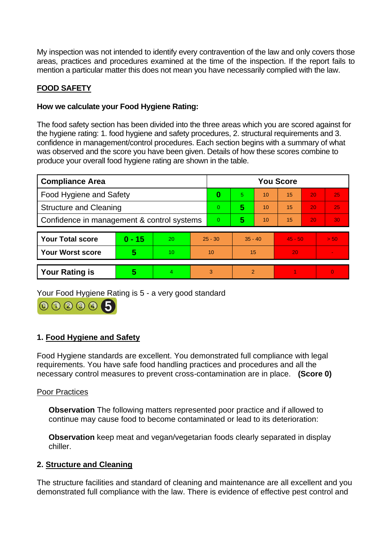My inspection was not intended to identify every contravention of the law and only covers those areas, practices and procedures examined at the time of the inspection. If the report fails to mention a particular matter this does not mean you have necessarily complied with the law.

# **FOOD SAFETY**

### **How we calculate your Food Hygiene Rating:**

The food safety section has been divided into the three areas which you are scored against for the hygiene rating: 1. food hygiene and safety procedures, 2. structural requirements and 3. confidence in management/control procedures. Each section begins with a summary of what was observed and the score you have been given. Details of how these scores combine to produce your overall food hygiene rating are shown in the table.

| <b>Compliance Area</b>                     |          |    |                | <b>You Score</b> |                          |    |           |    |          |  |
|--------------------------------------------|----------|----|----------------|------------------|--------------------------|----|-----------|----|----------|--|
| <b>Food Hygiene and Safety</b>             |          |    |                | 0                | 5.                       | 10 | 15        | 20 | 25       |  |
| <b>Structure and Cleaning</b>              |          |    | $\overline{0}$ | 5                | 10                       | 15 | 20        | 25 |          |  |
| Confidence in management & control systems |          |    |                | $\overline{0}$   | 5                        | 10 | 15        | 20 | 30       |  |
|                                            |          |    |                |                  |                          |    |           |    |          |  |
| <b>Your Total score</b>                    | $0 - 15$ | 20 | $25 - 30$      |                  | $35 - 40$                |    | $45 - 50$ |    | > 50     |  |
| <b>Your Worst score</b>                    | 5        | 10 | 10             |                  | 15                       |    | 20        |    |          |  |
|                                            |          |    |                |                  |                          |    |           |    |          |  |
| <b>Your Rating is</b>                      | 5        | 4  | 3              |                  | $\overline{\mathcal{L}}$ |    |           |    | $\Omega$ |  |

Your Food Hygiene Rating is 5 - a very good standard



## **1. Food Hygiene and Safety**

Food Hygiene standards are excellent. You demonstrated full compliance with legal requirements. You have safe food handling practices and procedures and all the necessary control measures to prevent cross-contamination are in place. **(Score 0)**

#### Poor Practices

**Observation** The following matters represented poor practice and if allowed to continue may cause food to become contaminated or lead to its deterioration:

**Observation** keep meat and vegan/vegetarian foods clearly separated in display chiller.

## **2. Structure and Cleaning**

The structure facilities and standard of cleaning and maintenance are all excellent and you demonstrated full compliance with the law. There is evidence of effective pest control and